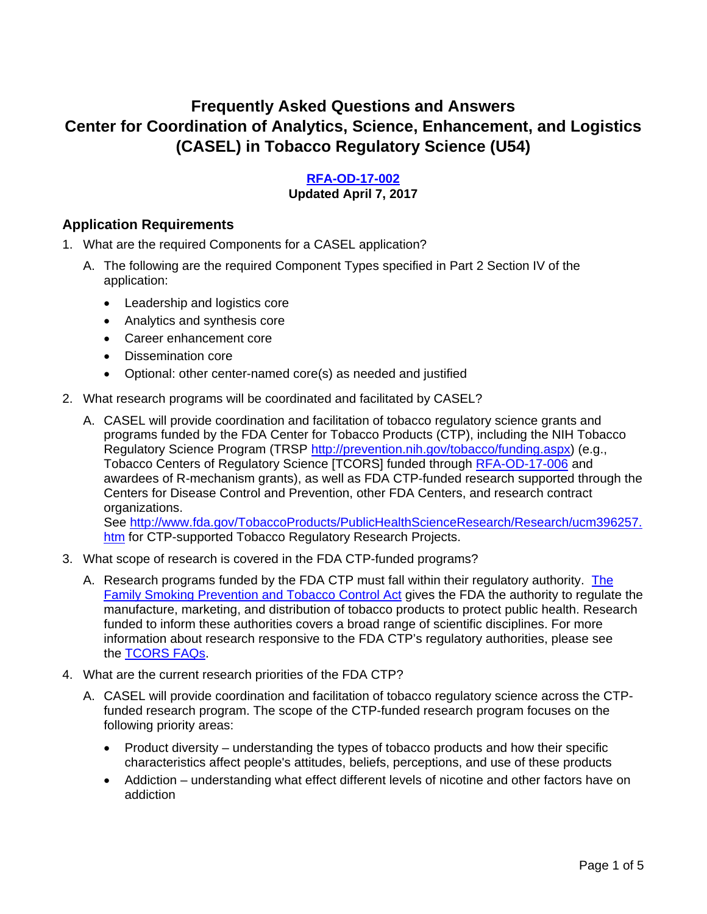# **Frequently Asked Questions and Answers Center for Coordination of Analytics, Science, Enhancement, and Logistics (CASEL) in Tobacco Regulatory Science (U54)**

#### **[RFA-OD-17-002](http://grants.nih.gov/grants/guide/rfa-files/RFA-OD-17-002.html)**

#### **Updated April 7, 2017**

#### **Application Requirements**

- 1. What are the required Components for a CASEL application?
	- A. The following are the required Component Types specified in Part 2 Section IV of the application:
		- Leadership and logistics core
		- Analytics and synthesis core
		- Career enhancement core
		- Dissemination core
		- Optional: other center-named core(s) as needed and justified
- 2. What research programs will be coordinated and facilitated by CASEL?
	- A. CASEL will provide coordination and facilitation of tobacco regulatory science grants and programs funded by the FDA Center for Tobacco Products (CTP), including the NIH Tobacco Regulatory Science Program (TRSP [http://prevention.nih.gov/tobacco/funding.aspx\)](http://prevention.nih.gov/tobacco/funding.aspx) (e.g., Tobacco Centers of Regulatory Science [TCORS] funded through [RFA-OD-17-006](http://grants.nih.gov/grants/guide/rfa-files/RFA-OD-17-006.html) and awardees of R-mechanism grants), as well as FDA CTP-funded research supported through the Centers for Disease Control and Prevention, other FDA Centers, and research contract organizations.

See [http://www.fda.gov/TobaccoProducts/PublicHealthScienceResearch/Research/ucm396257.](http://www.fda.gov/TobaccoProducts/PublicHealthScienceResearch/Research/ucm396257.htm) [htm](http://www.fda.gov/TobaccoProducts/PublicHealthScienceResearch/Research/ucm396257.htm) for CTP-supported Tobacco Regulatory Research Projects.

- 3. What scope of research is covered in the FDA CTP-funded programs?
	- A. Research programs funded by the FDA CTP must fall within their regulatory authority. [The](https://www.fda.gov/downloads/tobaccoproducts/labeling/rulesregulationsguidance/ucm336940.pdf)  **[Family Smoking Prevention and Tobacco Control Act](https://www.fda.gov/downloads/tobaccoproducts/labeling/rulesregulationsguidance/ucm336940.pdf) gives the FDA the authority to regulate the** manufacture, marketing, and distribution of tobacco products to protect public health. Research funded to inform these authorities covers a broad range of scientific disciplines. For more information about research responsive to the FDA CTP's regulatory authorities, please see the [TCORS FAQs.](https://prevention.nih.gov/docs/trsp/foa/faq-RFA-OD-17-006.pdf)
- 4. What are the current research priorities of the FDA CTP?
	- A. CASEL will provide coordination and facilitation of tobacco regulatory science across the CTPfunded research program. The scope of the CTP-funded research program focuses on the following priority areas:
		- Product diversity understanding the types of tobacco products and how their specific characteristics affect people's attitudes, beliefs, perceptions, and use of these products
		- Addiction understanding what effect different levels of nicotine and other factors have on addiction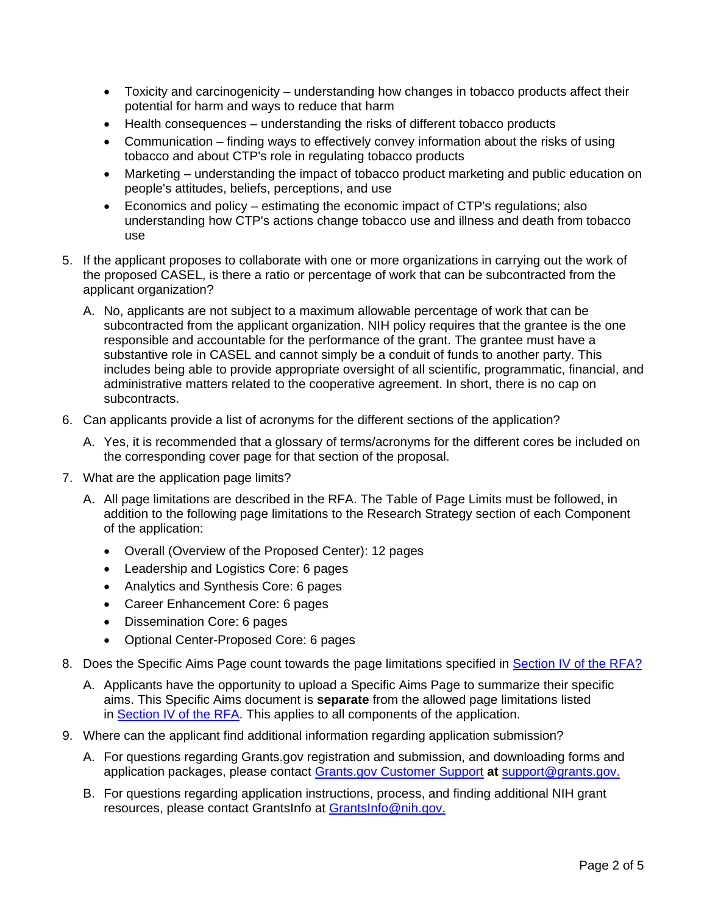- Toxicity and carcinogenicity understanding how changes in tobacco products affect their potential for harm and ways to reduce that harm
- Health consequences understanding the risks of different tobacco products
- Communication finding ways to effectively convey information about the risks of using tobacco and about CTP's role in regulating tobacco products
- Marketing understanding the impact of tobacco product marketing and public education on people's attitudes, beliefs, perceptions, and use
- Economics and policy estimating the economic impact of CTP's regulations; also understanding how CTP's actions change tobacco use and illness and death from tobacco use
- 5. If the applicant proposes to collaborate with one or more organizations in carrying out the work of the proposed CASEL, is there a ratio or percentage of work that can be subcontracted from the applicant organization?
	- A. No, applicants are not subject to a maximum allowable percentage of work that can be subcontracted from the applicant organization. NIH policy requires that the grantee is the one responsible and accountable for the performance of the grant. The grantee must have a substantive role in CASEL and cannot simply be a conduit of funds to another party. This includes being able to provide appropriate oversight of all scientific, programmatic, financial, and administrative matters related to the cooperative agreement. In short, there is no cap on subcontracts.
- 6. Can applicants provide a list of acronyms for the different sections of the application?
	- A. Yes, it is recommended that a glossary of terms/acronyms for the different cores be included on the corresponding cover page for that section of the proposal.
- 7. What are the application page limits?
	- A. All page limitations are described in the RFA. The Table of Page Limits must be followed, in addition to the following page limitations to the Research Strategy section of each Component of the application:
		- Overall (Overview of the Proposed Center): 12 pages
		- Leadership and Logistics Core: 6 pages
		- Analytics and Synthesis Core: 6 pages
		- Career Enhancement Core: 6 pages
		- Dissemination Core: 6 pages
		- Optional Center-Proposed Core: 6 pages
- 8. Does the Specific Aims Page count towards the page limitations specified in [Section IV of the RFA?](https://grants.nih.gov/grants/guide/rfa-files/RFA-OD-17-002.html#_Section_IV._Application_1)
	- A. Applicants have the opportunity to upload a Specific Aims Page to summarize their specific aims. This Specific Aims document is **separate** from the allowed page limitations listed in [Section IV of the RFA.](https://grants.nih.gov/grants/guide/rfa-files/RFA-OD-17-002.html#_Section_IV._Application_1) This applies to all components of the application.
- 9. Where can the applicant find additional information regarding application submission?
	- A. For questions regarding Grants.gov registration and submission, and downloading forms and application packages, please contact [Grants.gov Customer Support](https://grants.nih.gov/grants/guide/url_redirect.htm?id=82301) **at** [support@grants.gov.](mailto:support@grants.gov)
	- B. For questions regarding application instructions, process, and finding additional NIH grant resources, please contact GrantsInfo at [GrantsInfo@nih.gov.](mailto:GrantsInfo@nih.gov)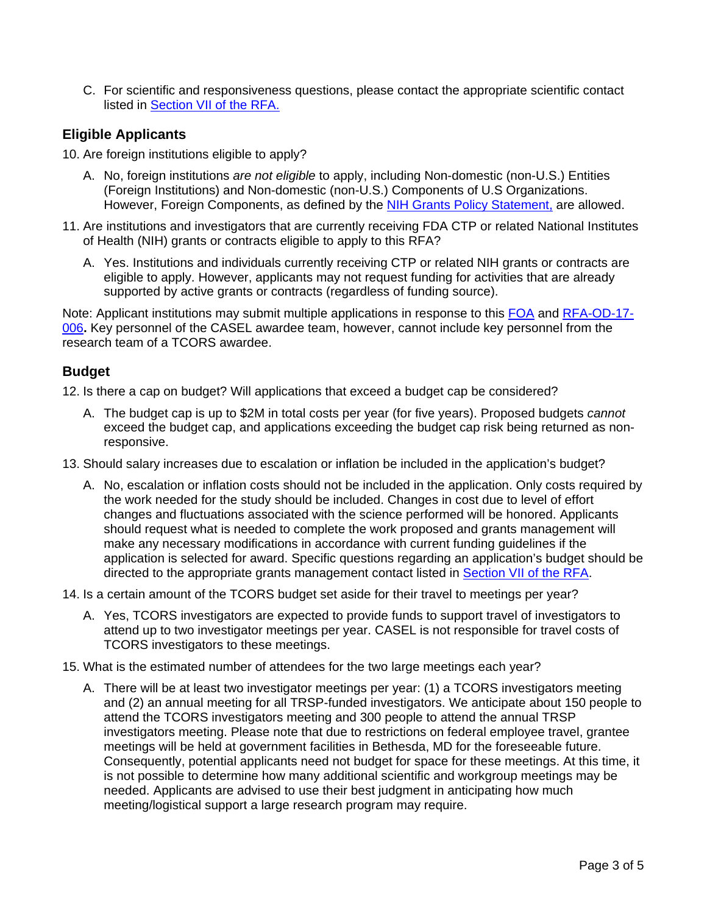C. For scientific and responsiveness questions, please contact the appropriate scientific contact listed in [Section VII of the RFA.](https://grants.nih.gov/grants/guide/rfa-files/RFA-OD-17-002.html#_Section_VII._Agency)

#### **Eligible Applicants**

- 10. Are foreign institutions eligible to apply?
	- A. No, foreign institutions *are not eligible* to apply, including Non-domestic (non-U.S.) Entities (Foreign Institutions) and Non-domestic (non-U.S.) Components of U.S Organizations. However, Foreign Components, as defined by the [NIH Grants Policy Statement,](http://grants.nih.gov/grants/policy/nihgps_2011/) are allowed.
- 11. Are institutions and investigators that are currently receiving FDA CTP or related National Institutes of Health (NIH) grants or contracts eligible to apply to this RFA?
	- A. Yes. Institutions and individuals currently receiving CTP or related NIH grants or contracts are eligible to apply. However, applicants may not request funding for activities that are already supported by active grants or contracts (regardless of funding source).

Note: Applicant institutions may submit multiple applications in response to this [FOA](http://grants.nih.gov/grants/guide/rfa-files/RFA-OD-17-002.html) and [RFA-OD-17-](http://grants.nih.gov/grants/guide/rfa-files/RFA-OD-17-006.html) [006](http://grants.nih.gov/grants/guide/rfa-files/RFA-OD-17-006.html)**.** Key personnel of the CASEL awardee team, however, cannot include key personnel from the research team of a TCORS awardee.

### **Budget**

12. Is there a cap on budget? Will applications that exceed a budget cap be considered?

- A. The budget cap is up to \$2M in total costs per year (for five years). Proposed budgets *cannot*  exceed the budget cap, and applications exceeding the budget cap risk being returned as nonresponsive.
- 13. Should salary increases due to escalation or inflation be included in the application's budget?
	- A. No, escalation or inflation costs should not be included in the application. Only costs required by the work needed for the study should be included. Changes in cost due to level of effort changes and fluctuations associated with the science performed will be honored. Applicants should request what is needed to complete the work proposed and grants management will make any necessary modifications in accordance with current funding guidelines if the application is selected for award. Specific questions regarding an application's budget should be directed to the appropriate grants management contact listed in [Section VII of the RFA.](https://grants.nih.gov/grants/guide/rfa-files/RFA-OD-17-002.html#_Section_VII._Agency)
- 14. Is a certain amount of the TCORS budget set aside for their travel to meetings per year?
	- A. Yes, TCORS investigators are expected to provide funds to support travel of investigators to attend up to two investigator meetings per year. CASEL is not responsible for travel costs of TCORS investigators to these meetings.
- 15. What is the estimated number of attendees for the two large meetings each year?
	- A. There will be at least two investigator meetings per year: (1) a TCORS investigators meeting and (2) an annual meeting for all TRSP-funded investigators. We anticipate about 150 people to attend the TCORS investigators meeting and 300 people to attend the annual TRSP investigators meeting. Please note that due to restrictions on federal employee travel, grantee meetings will be held at government facilities in Bethesda, MD for the foreseeable future. Consequently, potential applicants need not budget for space for these meetings. At this time, it is not possible to determine how many additional scientific and workgroup meetings may be needed. Applicants are advised to use their best judgment in anticipating how much meeting/logistical support a large research program may require.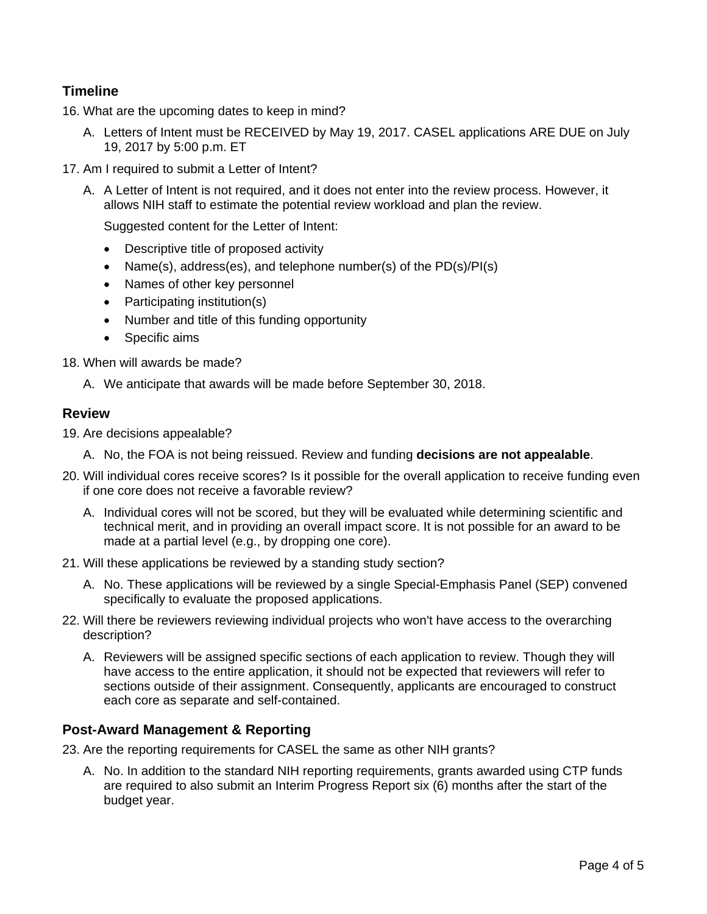## **Timeline**

16. What are the upcoming dates to keep in mind?

- A. Letters of Intent must be RECEIVED by May 19, 2017. CASEL applications ARE DUE on July 19, 2017 by 5:00 p.m. ET
- 17. Am I required to submit a Letter of Intent?
	- A. A Letter of Intent is not required, and it does not enter into the review process. However, it allows NIH staff to estimate the potential review workload and plan the review.

Suggested content for the Letter of Intent:

- Descriptive title of proposed activity
- Name(s), address(es), and telephone number(s) of the PD(s)/PI(s)
- Names of other key personnel
- Participating institution(s)
- Number and title of this funding opportunity
- Specific aims
- 18. When will awards be made?
	- A. We anticipate that awards will be made before September 30, 2018.

#### **Review**

- 19. Are decisions appealable?
	- A. No, the FOA is not being reissued. Review and funding **decisions are not appealable**.
- 20. Will individual cores receive scores? Is it possible for the overall application to receive funding even if one core does not receive a favorable review?
	- A. Individual cores will not be scored, but they will be evaluated while determining scientific and technical merit, and in providing an overall impact score. It is not possible for an award to be made at a partial level (e.g., by dropping one core).
- 21. Will these applications be reviewed by a standing study section?
	- A. No. These applications will be reviewed by a single Special-Emphasis Panel (SEP) convened specifically to evaluate the proposed applications.
- 22. Will there be reviewers reviewing individual projects who won't have access to the overarching description?
	- A. Reviewers will be assigned specific sections of each application to review. Though they will have access to the entire application, it should not be expected that reviewers will refer to sections outside of their assignment. Consequently, applicants are encouraged to construct each core as separate and self-contained.

#### **Post-Award Management & Reporting**

23. Are the reporting requirements for CASEL the same as other NIH grants?

A. No. In addition to the standard NIH reporting requirements, grants awarded using CTP funds are required to also submit an Interim Progress Report six (6) months after the start of the budget year.